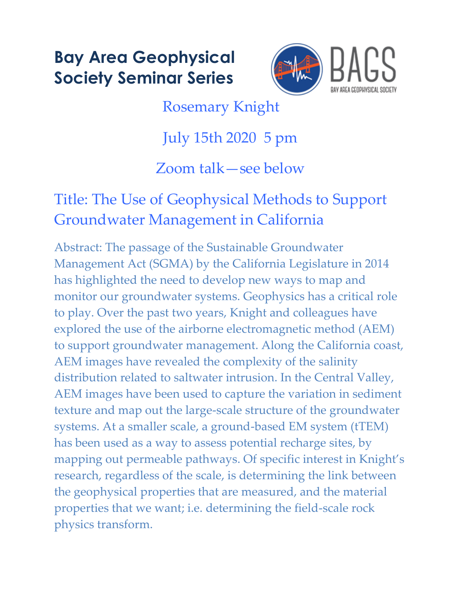## **Bay Area Geophysical Society Seminar Series**



Rosemary Knight

July 15th 2020 5 pm

Zoom talk—see below

## Title: The Use of Geophysical Methods to Support Groundwater Management in California

Abstract: The passage of the Sustainable Groundwater Management Act (SGMA) by the California Legislature in 2014 has highlighted the need to develop new ways to map and monitor our groundwater systems. Geophysics has a critical role to play. Over the past two years, Knight and colleagues have explored the use of the airborne electromagnetic method (AEM) to support groundwater management. Along the California coast, AEM images have revealed the complexity of the salinity distribution related to saltwater intrusion. In the Central Valley, AEM images have been used to capture the variation in sediment texture and map out the large-scale structure of the groundwater systems. At a smaller scale, a ground-based EM system (tTEM) has been used as a way to assess potential recharge sites, by mapping out permeable pathways. Of specific interest in Knight's research, regardless of the scale, is determining the link between the geophysical properties that are measured, and the material properties that we want; i.e. determining the field-scale rock physics transform.